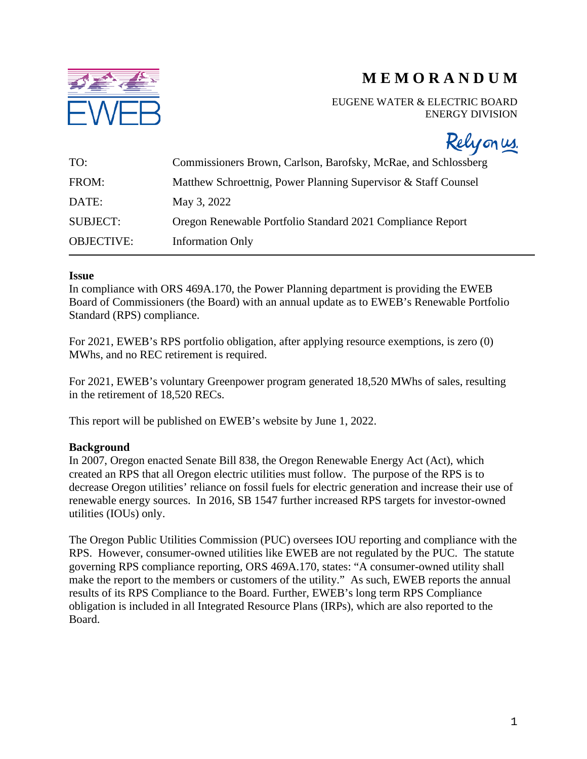

# **M E M O R A N D U M**

EUGENE WATER & ELECTRIC BOARD ENERGY DIVISION

Relyonus.

| TO:               | Commissioners Brown, Carlson, Barofsky, McRae, and Schlossberg |
|-------------------|----------------------------------------------------------------|
| FROM:             | Matthew Schroettnig, Power Planning Supervisor & Staff Counsel |
| DATE:             | May 3, 2022                                                    |
| <b>SUBJECT:</b>   | Oregon Renewable Portfolio Standard 2021 Compliance Report     |
| <b>OBJECTIVE:</b> | <b>Information Only</b>                                        |

### **Issue**

In compliance with ORS 469A.170, the Power Planning department is providing the EWEB Board of Commissioners (the Board) with an annual update as to EWEB's Renewable Portfolio Standard (RPS) compliance.

For 2021, EWEB's RPS portfolio obligation, after applying resource exemptions, is zero (0) MWhs, and no REC retirement is required.

For 2021, EWEB's voluntary Greenpower program generated 18,520 MWhs of sales, resulting in the retirement of 18,520 RECs.

This report will be published on EWEB's website by June 1, 2022.

# **Background**

In 2007, Oregon enacted Senate Bill 838, the Oregon Renewable Energy Act (Act), which created an RPS that all Oregon electric utilities must follow. The purpose of the RPS is to decrease Oregon utilities' reliance on fossil fuels for electric generation and increase their use of renewable energy sources. In 2016, SB 1547 further increased RPS targets for investor-owned utilities (IOUs) only.

The Oregon Public Utilities Commission (PUC) oversees IOU reporting and compliance with the RPS. However, consumer-owned utilities like EWEB are not regulated by the PUC. The statute governing RPS compliance reporting, ORS 469A.170, states: "A consumer-owned utility shall make the report to the members or customers of the utility." As such, EWEB reports the annual results of its RPS Compliance to the Board. Further, EWEB's long term RPS Compliance obligation is included in all Integrated Resource Plans (IRPs), which are also reported to the Board.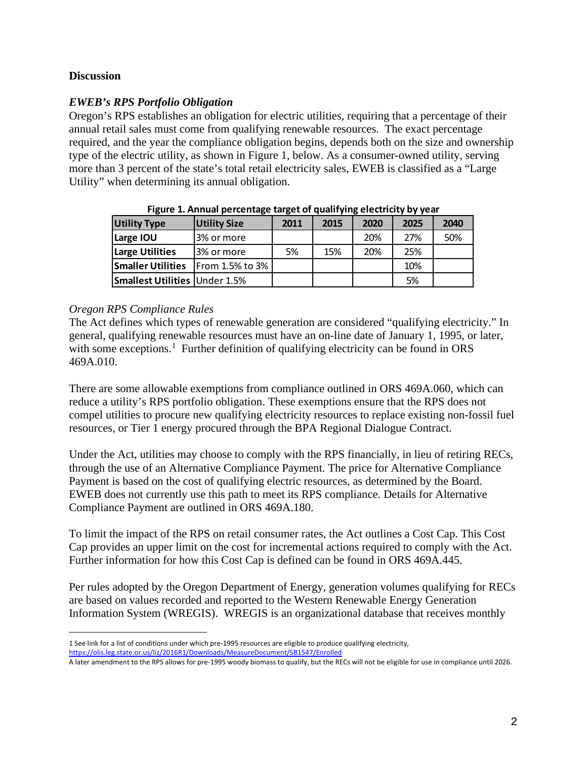## **Discussion**

## *EWEB's RPS Portfolio Obligation*

Oregon's RPS establishes an obligation for electric utilities, requiring that a percentage of their annual retail sales must come from qualifying renewable resources. The exact percentage required, and the year the compliance obligation begins, depends both on the size and ownership type of the electric utility, as shown in Figure 1, below. As a consumer-owned utility, serving more than 3 percent of the state's total retail electricity sales, EWEB is classified as a "Large Utility" when determining its annual obligation.

| <b>Utility Type</b>                  | <b>Utility Size</b>    | 2011 | 2015 | 2020 | 2025 | 2040 |
|--------------------------------------|------------------------|------|------|------|------|------|
| Large IOU                            | 3% or more             |      |      | 20%  | 27%  | 50%  |
| Large Utilities                      | 3% or more             | 5%   | 15%  | 20%  | 25%  |      |
| <b>Smaller Utilities</b>             | <b>From 1.5% to 3%</b> |      |      |      | 10%  |      |
| <b>Smallest Utilities Under 1.5%</b> |                        |      |      |      | 5%   |      |

**Figure 1. Annual percentage target of qualifying electricity by year**

### *Oregon RPS Compliance Rules*

The Act defines which types of renewable generation are considered "qualifying electricity." In general, qualifying renewable resources must have an on-line date of January 1, 1995, or later, with some exceptions.<sup>[1](#page-1-0)</sup> Further definition of qualifying electricity can be found in ORS 469A.010.

There are some allowable exemptions from compliance outlined in ORS 469A.060, which can reduce a utility's RPS portfolio obligation. These exemptions ensure that the RPS does not compel utilities to procure new qualifying electricity resources to replace existing non-fossil fuel resources, or Tier 1 energy procured through the BPA Regional Dialogue Contract.

Under the Act, utilities may choose to comply with the RPS financially, in lieu of retiring RECs, through the use of an Alternative Compliance Payment. The price for Alternative Compliance Payment is based on the cost of qualifying electric resources, as determined by the Board. EWEB does not currently use this path to meet its RPS compliance. Details for Alternative Compliance Payment are outlined in ORS 469A.180.

To limit the impact of the RPS on retail consumer rates, the Act outlines a Cost Cap. This Cost Cap provides an upper limit on the cost for incremental actions required to comply with the Act. Further information for how this Cost Cap is defined can be found in ORS 469A.445.

Per rules adopted by the Oregon Department of Energy, generation volumes qualifying for RECs are based on values recorded and reported to the Western Renewable Energy Generation Information System (WREGIS). WREGIS is an organizational database that receives monthly

<span id="page-1-0"></span><sup>1</sup> See link for a list of conditions under which pre-1995 resources are eligible to produce qualifying electricity, <https://olis.leg.state.or.us/liz/2016R1/Downloads/MeasureDocument/SB1547/Enrolled>

A later amendment to the RPS allows for pre-1995 woody biomass to qualify, but the RECs will not be eligible for use in compliance until 2026.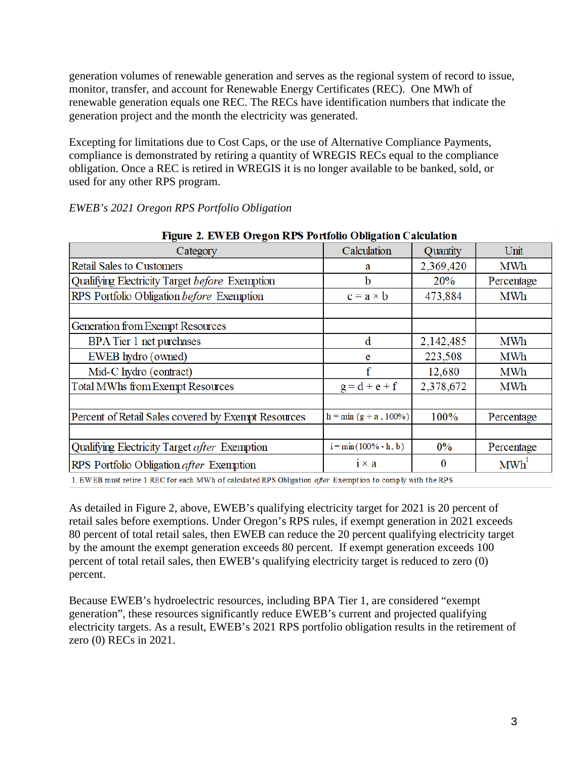generation volumes of renewable generation and serves as the regional system of record to issue, monitor, transfer, and account for Renewable Energy Certificates (REC). One MWh of renewable generation equals one REC. The RECs have identification numbers that indicate the generation project and the month the electricity was generated.

Excepting for limitations due to Cost Caps, or the use of Alternative Compliance Payments, compliance is demonstrated by retiring a quantity of WREGIS RECs equal to the compliance obligation. Once a REC is retired in WREGIS it is no longer available to be banked, sold, or used for any other RPS program.

| Figure 2. EWEB Oregon RPS Portfolio Obligation Calculation                                                        |                              |           |                  |  |  |  |  |
|-------------------------------------------------------------------------------------------------------------------|------------------------------|-----------|------------------|--|--|--|--|
| Category                                                                                                          | Calculation                  | Quantity  | Unit             |  |  |  |  |
| <b>Retail Sales to Customers</b>                                                                                  | a                            | 2,369,420 | MWh              |  |  |  |  |
| Qualifying Electricity Target before Exemption                                                                    | b                            | 20%       | Percentage       |  |  |  |  |
| RPS Portfolio Obligation before Exemption                                                                         | $c = a \times b$             | 473,884   | MWh              |  |  |  |  |
|                                                                                                                   |                              |           |                  |  |  |  |  |
| Generation from Exempt Resources                                                                                  |                              |           |                  |  |  |  |  |
| BPA Tier 1 net purchases                                                                                          | d                            | 2,142,485 | MWh              |  |  |  |  |
| EWEB hydro (owned)                                                                                                | 223,508<br>e                 |           | MWh              |  |  |  |  |
| Mid-C hydro (contract)                                                                                            | f<br>12,680                  |           | MWh              |  |  |  |  |
| <b>Total MWhs from Exempt Resources</b>                                                                           | 2,378,672<br>$g = d + e + f$ |           | MWh              |  |  |  |  |
|                                                                                                                   |                              |           |                  |  |  |  |  |
| Percent of Retail Sales covered by Exempt Resources                                                               | $h = min(g \div a, 100\%)$   | 100%      | Percentage       |  |  |  |  |
|                                                                                                                   |                              |           |                  |  |  |  |  |
| Qualifying Electricity Target <i>after</i> Exemption                                                              | $i = min(100\% - h, b)$      | $0\%$     | Percentage       |  |  |  |  |
| RPS Portfolio Obligation <i>after</i> Exemption                                                                   | $i \times a$                 | $\bf{0}$  | MWh <sup>1</sup> |  |  |  |  |
| 1. EWEB must retire 1 REC for each MWh of calculated RPS Obligation <i>after</i> Exemption to comply with the RPS |                              |           |                  |  |  |  |  |

# *EWEB's 2021 Oregon RPS Portfolio Obligation*

As detailed in Figure 2, above, EWEB's qualifying electricity target for 2021 is 20 percent of retail sales before exemptions. Under Oregon's RPS rules, if exempt generation in 2021 exceeds 80 percent of total retail sales, then EWEB can reduce the 20 percent qualifying electricity target by the amount the exempt generation exceeds 80 percent. If exempt generation exceeds 100 percent of total retail sales, then EWEB's qualifying electricity target is reduced to zero (0) percent.

Because EWEB's hydroelectric resources, including BPA Tier 1, are considered "exempt generation", these resources significantly reduce EWEB's current and projected qualifying electricity targets. As a result, EWEB's 2021 RPS portfolio obligation results in the retirement of zero (0) RECs in 2021.